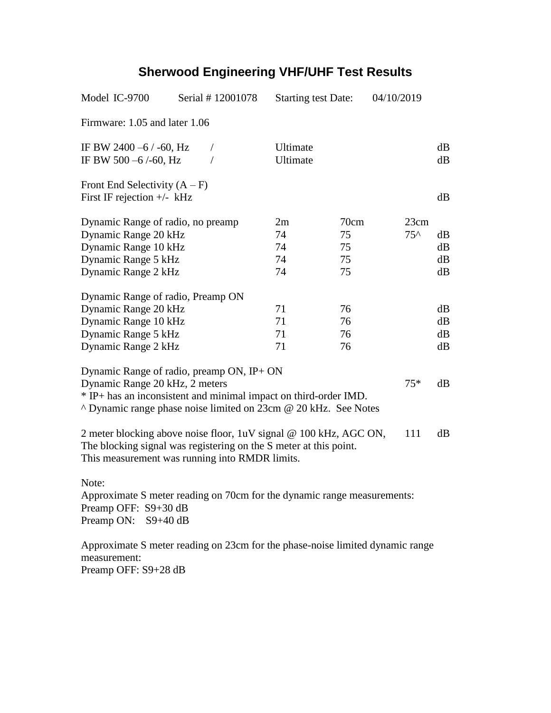| Model IC-9700                                                                                                                                                                                                               | Serial #12001078 | <b>Starting test Date:</b> |                              | 04/10/2019            |                      |
|-----------------------------------------------------------------------------------------------------------------------------------------------------------------------------------------------------------------------------|------------------|----------------------------|------------------------------|-----------------------|----------------------|
| Firmware: 1.05 and later 1.06                                                                                                                                                                                               |                  |                            |                              |                       |                      |
| IF BW 2400 $-6$ / $-60$ , Hz<br>IF BW 500-6/-60, Hz                                                                                                                                                                         | $\sqrt{2}$       | Ultimate<br>Ultimate       |                              |                       | dB<br>dB             |
| Front End Selectivity $(A - F)$<br>First IF rejection $+/-$ kHz                                                                                                                                                             |                  |                            |                              |                       | dB                   |
| Dynamic Range of radio, no preamp<br>Dynamic Range 20 kHz<br>Dynamic Range 10 kHz<br>Dynamic Range 5 kHz<br>Dynamic Range 2 kHz                                                                                             |                  | 2m<br>74<br>74<br>74<br>74 | 70cm<br>75<br>75<br>75<br>75 | 23cm<br>$75^{\wedge}$ | dB<br>dB<br>dB<br>dB |
| Dynamic Range of radio, Preamp ON<br>Dynamic Range 20 kHz<br>Dynamic Range 10 kHz<br>Dynamic Range 5 kHz<br>Dynamic Range 2 kHz                                                                                             |                  | 71<br>71<br>71<br>71       | 76<br>76<br>76<br>76         |                       | dB<br>dB<br>dB<br>dB |
| Dynamic Range of radio, preamp ON, IP+ ON<br>Dynamic Range 20 kHz, 2 meters<br>$75*$<br>* IP+ has an inconsistent and minimal impact on third-order IMD.<br>^ Dynamic range phase noise limited on 23cm @ 20 kHz. See Notes |                  |                            |                              |                       | dB                   |
| 2 meter blocking above noise floor, 1uV signal @ 100 kHz, AGC ON,<br>111<br>The blocking signal was registering on the S meter at this point.<br>This measurement was running into RMDR limits.                             |                  |                            |                              |                       | dB                   |
| Note:<br>Approximate S meter reading on 70cm for the dynamic range measurements:<br>Preamp OFF: S9+30 dB<br>Preamp ON: S9+40 dB                                                                                             |                  |                            |                              |                       |                      |
| Approximate S meter reading on 23cm for the phase-noise limited dynamic range<br>measurement:                                                                                                                               |                  |                            |                              |                       |                      |

Preamp OFF: S9+28 dB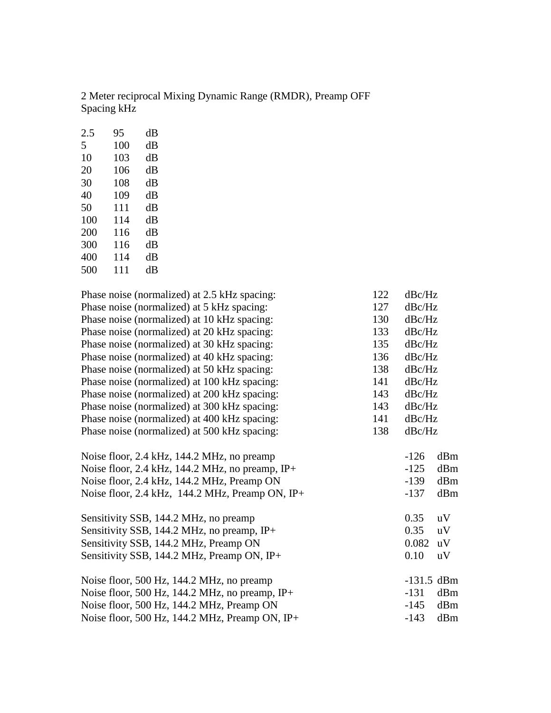2 Meter reciprocal Mixing Dynamic Range (RMDR), Preamp OFF Spacing kHz

| 2.5 | 95  | dВ |
|-----|-----|----|
| 5   | 100 | dВ |
| 10  | 103 | dВ |
| 20  | 106 | dB |
| 30  | 108 | dB |
| 40  | 109 | dB |
| 50  | 111 | dB |
| 100 | 114 | dB |
| 200 | 116 | dB |
| 300 | 116 | dB |
| 400 | 114 | dB |
| 500 | 111 | dВ |
|     |     |    |

| Phase noise (normalized) at 2.5 kHz spacing:     | 122 | dBc/Hz       |     |
|--------------------------------------------------|-----|--------------|-----|
| Phase noise (normalized) at 5 kHz spacing:       | 127 | dBc/Hz       |     |
| Phase noise (normalized) at 10 kHz spacing:      | 130 | dBc/Hz       |     |
| Phase noise (normalized) at 20 kHz spacing:      | 133 | dBc/Hz       |     |
| Phase noise (normalized) at 30 kHz spacing:      | 135 | dBc/Hz       |     |
| Phase noise (normalized) at 40 kHz spacing:      | 136 | dBc/Hz       |     |
| Phase noise (normalized) at 50 kHz spacing:      | 138 | dBc/Hz       |     |
| Phase noise (normalized) at 100 kHz spacing:     | 141 | dBc/Hz       |     |
| Phase noise (normalized) at 200 kHz spacing:     | 143 | dBc/Hz       |     |
| Phase noise (normalized) at 300 kHz spacing:     | 143 | dBc/Hz       |     |
| Phase noise (normalized) at 400 kHz spacing:     | 141 | dBc/Hz       |     |
| Phase noise (normalized) at 500 kHz spacing:     | 138 | dBc/Hz       |     |
| Noise floor, 2.4 kHz, 144.2 MHz, no preamp       |     | $-126$       | dBm |
| Noise floor, 2.4 kHz, 144.2 MHz, no preamp, IP+  |     | $-125$       | dBm |
| Noise floor, 2.4 kHz, 144.2 MHz, Preamp ON       |     | $-139$       | dBm |
| Noise floor, 2.4 kHz, 144.2 MHz, Preamp ON, IP+  |     | $-137$       | dBm |
| Sensitivity SSB, 144.2 MHz, no preamp            |     | 0.35         | uV  |
| Sensitivity SSB, 144.2 MHz, no preamp, IP+       |     | 0.35         | uV  |
| Sensitivity SSB, 144.2 MHz, Preamp ON            |     | 0.082        | uV  |
| Sensitivity SSB, 144.2 MHz, Preamp ON, IP+       |     | 0.10         | uV  |
| Noise floor, 500 Hz, 144.2 MHz, no preamp        |     | $-131.5$ dBm |     |
| Noise floor, 500 Hz, 144.2 MHz, no preamp, $IP+$ |     | $-131$       | dBm |
| Noise floor, 500 Hz, 144.2 MHz, Preamp ON        |     | $-145$       | dBm |
| Noise floor, 500 Hz, 144.2 MHz, Preamp ON, IP+   |     | $-143$       | dBm |
|                                                  |     |              |     |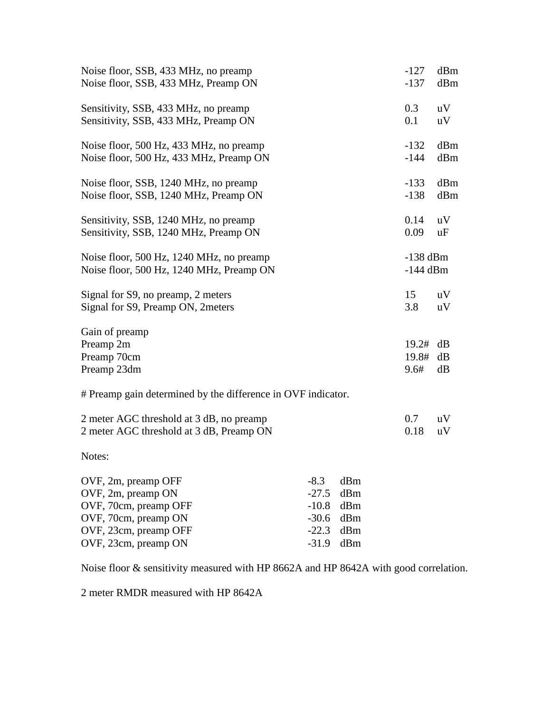| Noise floor, SSB, 433 MHz, no preamp                         |         |     | $-127$     | dBm |
|--------------------------------------------------------------|---------|-----|------------|-----|
| Noise floor, SSB, 433 MHz, Preamp ON                         |         |     | $-137$     | dBm |
| Sensitivity, SSB, 433 MHz, no preamp                         |         |     | 0.3        | uV  |
| Sensitivity, SSB, 433 MHz, Preamp ON                         |         |     | 0.1        | uV  |
| Noise floor, 500 Hz, 433 MHz, no preamp                      |         |     | $-132$     | dBm |
| Noise floor, 500 Hz, 433 MHz, Preamp ON                      |         |     | $-144$     | dBm |
| Noise floor, SSB, 1240 MHz, no preamp                        |         |     | $-133$     | dBm |
| Noise floor, SSB, 1240 MHz, Preamp ON                        |         |     | $-138$     | dBm |
| Sensitivity, SSB, 1240 MHz, no preamp                        |         |     | 0.14       | uV  |
| Sensitivity, SSB, 1240 MHz, Preamp ON                        |         |     | 0.09       | uF  |
| Noise floor, 500 Hz, 1240 MHz, no preamp                     |         |     | $-138$ dBm |     |
| Noise floor, 500 Hz, 1240 MHz, Preamp ON                     |         |     | $-144$ dBm |     |
| Signal for S9, no preamp, 2 meters                           |         |     | 15         | uV  |
| Signal for S9, Preamp ON, 2meters                            |         |     | 3.8        | uV  |
| Gain of preamp                                               |         |     |            |     |
| Preamp 2m                                                    |         |     | 19.2#      | dB  |
| Preamp 70cm                                                  |         |     | 19.8#      | dB  |
| Preamp 23dm                                                  |         |     | 9.6#       | dB  |
| # Preamp gain determined by the difference in OVF indicator. |         |     |            |     |
| 2 meter AGC threshold at 3 dB, no preamp                     |         |     | 0.7        | uV  |
| 2 meter AGC threshold at 3 dB, Preamp ON                     |         |     | 0.18       | uV  |
| Notes:                                                       |         |     |            |     |
| OVF, 2m, preamp OFF                                          | $-8.3$  | dBm |            |     |
| OVF, 2m, preamp ON                                           | $-27.5$ | dBm |            |     |
| OVF, 70cm, preamp OFF                                        | $-10.8$ | dBm |            |     |
| OVF, 70cm, preamp ON                                         | $-30.6$ | dBm |            |     |
| OVF, 23cm, preamp OFF                                        | $-22.3$ | dBm |            |     |
| OVF, 23cm, preamp ON                                         | $-31.9$ | dBm |            |     |

Noise floor & sensitivity measured with HP 8662A and HP 8642A with good correlation.

2 meter RMDR measured with HP 8642A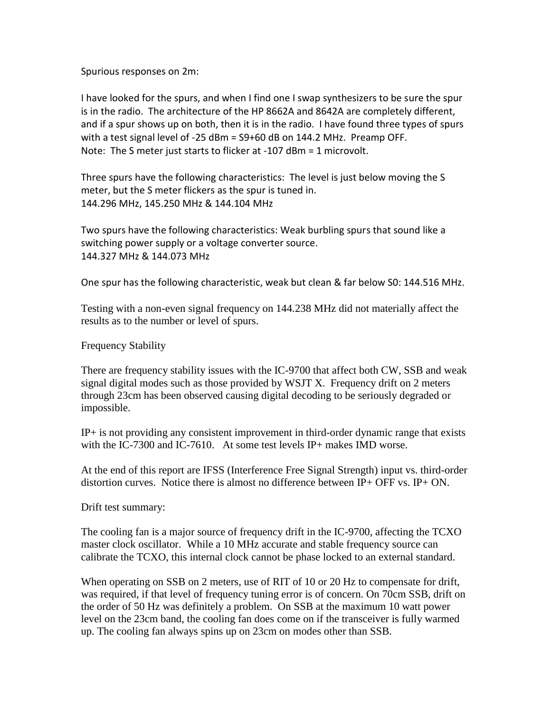Spurious responses on 2m:

I have looked for the spurs, and when I find one I swap synthesizers to be sure the spur is in the radio. The architecture of the HP 8662A and 8642A are completely different, and if a spur shows up on both, then it is in the radio. I have found three types of spurs with a test signal level of -25 dBm = S9+60 dB on 144.2 MHz. Preamp OFF. Note: The S meter just starts to flicker at -107 dBm = 1 microvolt.

Three spurs have the following characteristics: The level is just below moving the S meter, but the S meter flickers as the spur is tuned in. 144.296 MHz, 145.250 MHz & 144.104 MHz

Two spurs have the following characteristics: Weak burbling spurs that sound like a switching power supply or a voltage converter source. 144.327 MHz & 144.073 MHz

One spur has the following characteristic, weak but clean & far below S0: 144.516 MHz.

Testing with a non-even signal frequency on 144.238 MHz did not materially affect the results as to the number or level of spurs.

Frequency Stability

There are frequency stability issues with the IC-9700 that affect both CW, SSB and weak signal digital modes such as those provided by WSJT X. Frequency drift on 2 meters through 23cm has been observed causing digital decoding to be seriously degraded or impossible.

 $IP<sub>+</sub>$  is not providing any consistent improvement in third-order dynamic range that exists with the IC-7300 and IC-7610. At some test levels IP+ makes IMD worse.

At the end of this report are IFSS (Interference Free Signal Strength) input vs. third-order distortion curves. Notice there is almost no difference between  $IP+$  OFF vs.  $IP+$  ON.

Drift test summary:

The cooling fan is a major source of frequency drift in the IC-9700, affecting the TCXO master clock oscillator. While a 10 MHz accurate and stable frequency source can calibrate the TCXO, this internal clock cannot be phase locked to an external standard.

When operating on SSB on 2 meters, use of RIT of 10 or 20 Hz to compensate for drift, was required, if that level of frequency tuning error is of concern. On 70cm SSB, drift on the order of 50 Hz was definitely a problem. On SSB at the maximum 10 watt power level on the 23cm band, the cooling fan does come on if the transceiver is fully warmed up. The cooling fan always spins up on 23cm on modes other than SSB.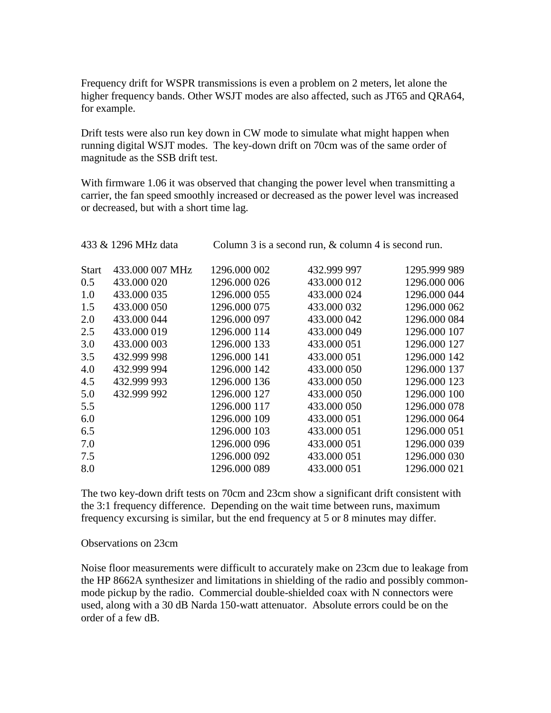Frequency drift for WSPR transmissions is even a problem on 2 meters, let alone the higher frequency bands. Other WSJT modes are also affected, such as JT65 and QRA64, for example.

Drift tests were also run key down in CW mode to simulate what might happen when running digital WSJT modes. The key-down drift on 70cm was of the same order of magnitude as the SSB drift test.

With firmware 1.06 it was observed that changing the power level when transmitting a carrier, the fan speed smoothly increased or decreased as the power level was increased or decreased, but with a short time lag.

| Column 3 is a second run, & column 4 is second run.<br>433 & 1296 MHz data |                 |              |             |              |
|----------------------------------------------------------------------------|-----------------|--------------|-------------|--------------|
| <b>Start</b>                                                               | 433.000 007 MHz | 1296.000 002 | 432.999 997 | 1295.999 989 |
| 0.5                                                                        | 433.000 020     | 1296.000 026 | 433.000 012 | 1296.000 006 |
| 1.0                                                                        | 433.000 035     | 1296.000 055 | 433.000 024 | 1296.000 044 |
| 1.5                                                                        | 433.000 050     | 1296.000 075 | 433.000 032 | 1296.000 062 |
| 2.0                                                                        | 433.000 044     | 1296.000 097 | 433.000 042 | 1296.000 084 |
| 2.5                                                                        | 433.000 019     | 1296.000 114 | 433.000 049 | 1296.000 107 |
| 3.0                                                                        | 433.000 003     | 1296.000 133 | 433.000 051 | 1296.000 127 |
| 3.5                                                                        | 432.999 998     | 1296.000 141 | 433.000 051 | 1296.000 142 |
| 4.0                                                                        | 432.999 994     | 1296.000 142 | 433.000 050 | 1296.000 137 |
| 4.5                                                                        | 432.999 993     | 1296.000 136 | 433.000 050 | 1296.000 123 |
| 5.0                                                                        | 432.999 992     | 1296.000 127 | 433.000 050 | 1296.000 100 |
| 5.5                                                                        |                 | 1296.000 117 | 433.000 050 | 1296.000 078 |
| 6.0                                                                        |                 | 1296.000 109 | 433.000 051 | 1296.000 064 |
| 6.5                                                                        |                 | 1296.000 103 | 433.000 051 | 1296.000 051 |
| 7.0                                                                        |                 | 1296.000 096 | 433.000 051 | 1296.000 039 |
| 7.5                                                                        |                 | 1296.000 092 | 433.000 051 | 1296.000 030 |
| 8.0                                                                        |                 | 1296.000 089 | 433.000 051 | 1296.000 021 |
|                                                                            |                 |              |             |              |

The two key-down drift tests on 70cm and 23cm show a significant drift consistent with the 3:1 frequency difference. Depending on the wait time between runs, maximum frequency excursing is similar, but the end frequency at 5 or 8 minutes may differ.

## Observations on 23cm

Noise floor measurements were difficult to accurately make on 23cm due to leakage from the HP 8662A synthesizer and limitations in shielding of the radio and possibly commonmode pickup by the radio. Commercial double-shielded coax with N connectors were used, along with a 30 dB Narda 150-watt attenuator. Absolute errors could be on the order of a few dB.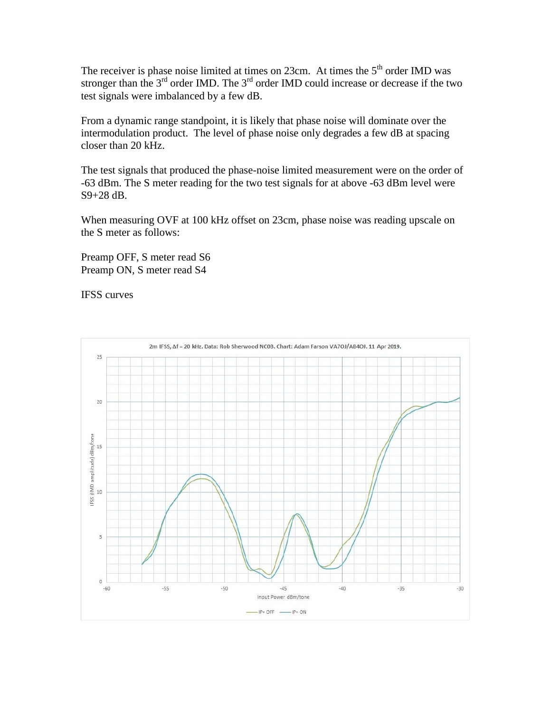The receiver is phase noise limited at times on 23cm. At times the  $5<sup>th</sup>$  order IMD was stronger than the  $3^{rd}$  order IMD. The  $3^{rd}$  order IMD could increase or decrease if the two test signals were imbalanced by a few dB.

From a dynamic range standpoint, it is likely that phase noise will dominate over the intermodulation product. The level of phase noise only degrades a few dB at spacing closer than 20 kHz.

The test signals that produced the phase-noise limited measurement were on the order of -63 dBm. The S meter reading for the two test signals for at above -63 dBm level were S9+28 dB.

When measuring OVF at 100 kHz offset on 23cm, phase noise was reading upscale on the S meter as follows:

Preamp OFF, S meter read S6 Preamp ON, S meter read S4

IFSS curves